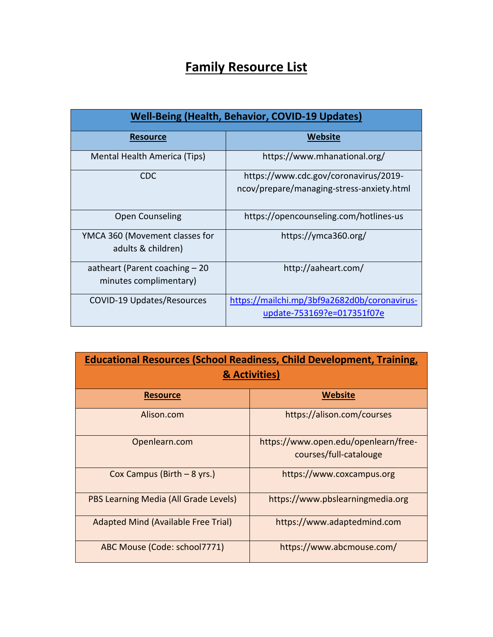## **Family Resource List**

| <b>Well-Being (Health, Behavior, COVID-19 Updates)</b>    |                                                                                    |  |
|-----------------------------------------------------------|------------------------------------------------------------------------------------|--|
| <b>Resource</b>                                           | Website                                                                            |  |
| Mental Health America (Tips)                              | https://www.mhanational.org/                                                       |  |
| <b>CDC</b>                                                | https://www.cdc.gov/coronavirus/2019-<br>ncov/prepare/managing-stress-anxiety.html |  |
| <b>Open Counseling</b>                                    | https://opencounseling.com/hotlines-us                                             |  |
| YMCA 360 (Movement classes for<br>adults & children)      | https://ymca360.org/                                                               |  |
| aatheart (Parent coaching $-20$<br>minutes complimentary) | http://aaheart.com/                                                                |  |
| COVID-19 Updates/Resources                                | https://mailchi.mp/3bf9a2682d0b/coronavirus-<br>update-753169?e=017351f07e         |  |

| <b>Educational Resources (School Readiness, Child Development, Training,</b><br>& Activities) |                                                                |  |
|-----------------------------------------------------------------------------------------------|----------------------------------------------------------------|--|
| <b>Resource</b>                                                                               | <b>Website</b>                                                 |  |
| Alison.com                                                                                    | https://alison.com/courses                                     |  |
| Openlearn.com                                                                                 | https://www.open.edu/openlearn/free-<br>courses/full-catalouge |  |
| Cox Campus (Birth $-8$ yrs.)                                                                  | https://www.coxcampus.org                                      |  |
| PBS Learning Media (All Grade Levels)                                                         | https://www.pbslearningmedia.org                               |  |
| <b>Adapted Mind (Available Free Trial)</b>                                                    | https://www.adaptedmind.com                                    |  |
| ABC Mouse (Code: school7771)                                                                  | https://www.abcmouse.com/                                      |  |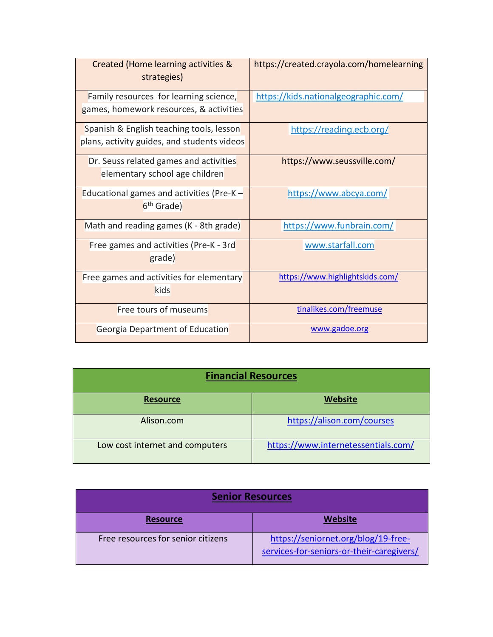| Created (Home learning activities &<br>strategies) | https://created.crayola.com/homelearning |
|----------------------------------------------------|------------------------------------------|
| Family resources for learning science,             | https://kids.nationalgeographic.com/     |
| games, homework resources, & activities            |                                          |
| Spanish & English teaching tools, lesson           | https://reading.ecb.org/                 |
| plans, activity guides, and students videos        |                                          |
| Dr. Seuss related games and activities             | https://www.seussville.com/              |
| elementary school age children                     |                                          |
| Educational games and activities (Pre-K $-$        | https://www.abcya.com/                   |
| 6 <sup>th</sup> Grade)                             |                                          |
| Math and reading games (K - 8th grade)             | https://www.funbrain.com/                |
| Free games and activities (Pre-K - 3rd             | www.starfall.com                         |
| grade)                                             |                                          |
| Free games and activities for elementary           | https://www.highlightskids.com/          |
| kids                                               |                                          |
| <b>Free tours of museums</b>                       | tinalikes.com/freemuse                   |
| Georgia Department of Education                    | www.gadoe.org                            |

| <b>Financial Resources</b>      |                                     |  |
|---------------------------------|-------------------------------------|--|
| <b>Resource</b>                 | <b>Website</b>                      |  |
| Alison.com                      | https://alison.com/courses          |  |
| Low cost internet and computers | https://www.internetessentials.com/ |  |

| <b>Senior Resources</b>            |                                                                                  |  |
|------------------------------------|----------------------------------------------------------------------------------|--|
| <b>Resource</b>                    | Website                                                                          |  |
| Free resources for senior citizens | https://seniornet.org/blog/19-free-<br>services-for-seniors-or-their-caregivers/ |  |